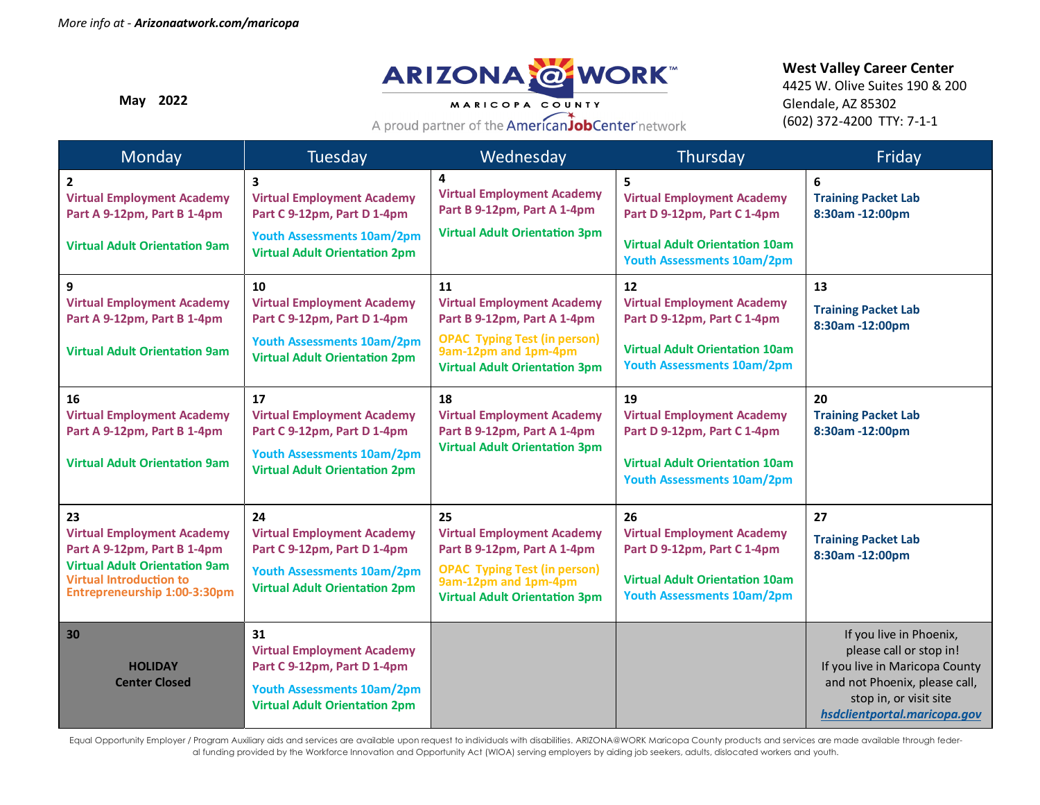

A proud partner of the AmericanJobCenter network

**May 2022**

#### **West Valley Career Center**

4425 W. Olive Suites 190 & 200 Glendale, AZ 85302 (602) 372-4200 TTY: 7-1-1

| Monday                                                                                                 | Tuesday                                                                                     | Wednesday                                                                                                     | Thursday                                                                   | Friday                                                    |
|--------------------------------------------------------------------------------------------------------|---------------------------------------------------------------------------------------------|---------------------------------------------------------------------------------------------------------------|----------------------------------------------------------------------------|-----------------------------------------------------------|
| $\overline{2}$<br><b>Virtual Employment Academy</b><br>Part A 9-12pm, Part B 1-4pm                     | $\overline{\mathbf{3}}$<br><b>Virtual Employment Academy</b><br>Part C 9-12pm, Part D 1-4pm | 4<br><b>Virtual Employment Academy</b><br>Part B 9-12pm, Part A 1-4pm<br><b>Virtual Adult Orientation 3pm</b> | 5<br><b>Virtual Employment Academy</b><br>Part D 9-12pm, Part C 1-4pm      | 6<br><b>Training Packet Lab</b><br>8:30am -12:00pm        |
| <b>Virtual Adult Orientation 9am</b>                                                                   | <b>Youth Assessments 10am/2pm</b><br><b>Virtual Adult Orientation 2pm</b>                   |                                                                                                               | <b>Virtual Adult Orientation 10am</b><br><b>Youth Assessments 10am/2pm</b> |                                                           |
| 9                                                                                                      | 10                                                                                          | 11                                                                                                            | 12                                                                         | 13                                                        |
| <b>Virtual Employment Academy</b><br>Part A 9-12pm, Part B 1-4pm                                       | <b>Virtual Employment Academy</b><br>Part C 9-12pm, Part D 1-4pm                            | <b>Virtual Employment Academy</b><br>Part B 9-12pm, Part A 1-4pm                                              | <b>Virtual Employment Academy</b><br>Part D 9-12pm, Part C 1-4pm           | <b>Training Packet Lab</b><br>8:30am -12:00pm             |
| <b>Virtual Adult Orientation 9am</b>                                                                   | <b>Youth Assessments 10am/2pm</b><br><b>Virtual Adult Orientation 2pm</b>                   | <b>OPAC Typing Test (in person)</b><br>9am-12pm and 1pm-4pm<br><b>Virtual Adult Orientation 3pm</b>           | <b>Virtual Adult Orientation 10am</b><br><b>Youth Assessments 10am/2pm</b> |                                                           |
| 16                                                                                                     | 17                                                                                          | 18                                                                                                            | 19                                                                         | 20                                                        |
| <b>Virtual Employment Academy</b><br>Part A 9-12pm, Part B 1-4pm                                       | <b>Virtual Employment Academy</b><br>Part C 9-12pm, Part D 1-4pm                            | <b>Virtual Employment Academy</b><br>Part B 9-12pm, Part A 1-4pm                                              | <b>Virtual Employment Academy</b><br>Part D 9-12pm, Part C 1-4pm           | <b>Training Packet Lab</b><br>8:30am -12:00pm             |
| <b>Virtual Adult Orientation 9am</b>                                                                   | <b>Youth Assessments 10am/2pm</b><br><b>Virtual Adult Orientation 2pm</b>                   | <b>Virtual Adult Orientation 3pm</b>                                                                          | <b>Virtual Adult Orientation 10am</b><br><b>Youth Assessments 10am/2pm</b> |                                                           |
| 23                                                                                                     | 24                                                                                          | 25                                                                                                            | 26                                                                         | 27                                                        |
| <b>Virtual Employment Academy</b><br>Part A 9-12pm, Part B 1-4pm                                       | <b>Virtual Employment Academy</b><br>Part C 9-12pm, Part D 1-4pm                            | <b>Virtual Employment Academy</b><br>Part B 9-12pm, Part A 1-4pm                                              | <b>Virtual Employment Academy</b><br>Part D 9-12pm, Part C 1-4pm           | <b>Training Packet Lab</b><br>8:30am -12:00pm             |
| <b>Virtual Adult Orientation 9am</b><br><b>Virtual Introduction to</b><br>Entrepreneurship 1:00-3:30pm | <b>Youth Assessments 10am/2pm</b><br><b>Virtual Adult Orientation 2pm</b>                   | <b>OPAC Typing Test (in person)</b><br>9am-12pm and 1pm-4pm<br><b>Virtual Adult Orientation 3pm</b>           | <b>Virtual Adult Orientation 10am</b><br><b>Youth Assessments 10am/2pm</b> |                                                           |
| 30                                                                                                     | 31                                                                                          |                                                                                                               |                                                                            | If you live in Phoenix,                                   |
| <b>HOLIDAY</b>                                                                                         | <b>Virtual Employment Academy</b><br>Part C 9-12pm, Part D 1-4pm                            |                                                                                                               |                                                                            | please call or stop in!<br>If you live in Maricopa County |
| <b>Center Closed</b>                                                                                   | <b>Youth Assessments 10am/2pm</b>                                                           |                                                                                                               |                                                                            | and not Phoenix, please call,                             |
|                                                                                                        | <b>Virtual Adult Orientation 2pm</b>                                                        |                                                                                                               |                                                                            | stop in, or visit site                                    |
|                                                                                                        |                                                                                             |                                                                                                               |                                                                            | hsdclientportal.maricopa.gov                              |

Equal Opportunity Employer / Program Auxiliary aids and services are available upon request to individuals with disabilities. ARIZONA@WORK Maricopa County products and services are made available through federal funding provided by the Workforce Innovation and Opportunity Act (WIOA) serving employers by aiding job seekers, adults, dislocated workers and youth.